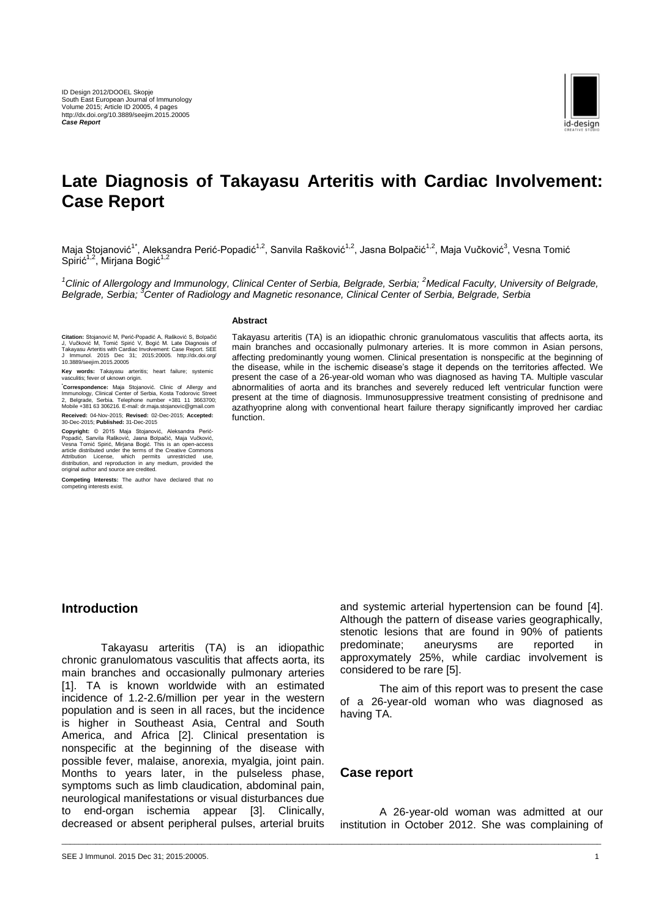

# **Late Diagnosis of Takayasu Arteritis with Cardiac Involvement: Case Report**

Maja Stojanović<sup>1\*</sup>, Aleksandra Perić-Popadić<sup>1,2</sup>, Sanvila Rašković<sup>1,2</sup>, Jasna Bolpačić<sup>1,2</sup>, Maja Vučković<sup>3</sup>, Vesna Tomić Spirić<sup>1,2</sup>, Mirjana Bogić<sup>1,2</sup>

<sup>1</sup>Clinic of Allergology and Immunology, Clinical Center of Serbia, Belgrade, Serbia; <sup>2</sup>Medical Faculty, University of Belgrade, *Belgrade, Serbia; <sup>3</sup>Center of Radiology and Magnetic resonance, Clinical Center of Serbia, Belgrade, Serbia*

#### **Abstract**

Citation: Stojanović M, Perić-Popadić A, Rašković S, Bolpačić<br>J, Vučković M, Tomić Spirić V, Bogić M. Late Diagnosis of<br>Takayasu Arteritis with Cardiac Involvement: Case Report. SEE<br>J Immunol. 2015 Dec 31; 2015:20005. http

**Key words:** Takayasu arteritis; heart failure; systemic vasculitis; fever of uknown origin.

**\*Correspondence:** Maja Stojanović. Clinic of Allergy and Immunology, Clinical Center of Serbia, Kosta Todorovic Street 2, Belgrade, Serbia. Telephone number +381 11 3663700; Mobile +381 63 306216. E-mail: dr.maja.stojanovic@gmail.com **Received:** 04-Nov-2015; **Revised:** 02-Dec-2015; **Accepted:** 30-Dec-2015; **Published:** 31-Dec-2015

**Copyright:** © 2015 Maja Stojanović, Aleksandra Perić-<br>Popadić, Sanvila Rašković, Jasna Bolpačić, Maja Vučković,<br>Vesna Tomić Spirić, Mirjana Bogić. This is an open-access<br>article distributed under the terms of the Creative Attribution License, which permits unrestricted use, distribution, and reproduction in any medium, provided the original author and source are credited.

**Competing Interests:** The author have declared that no competing interests exist.

Takayasu arteritis (TA) is an idiopathic chronic granulomatous vasculitis that affects aorta, its main branches and occasionally pulmonary arteries. It is more common in Asian persons, affecting predominantly young women. Clinical presentation is nonspecific at the beginning of the disease, while in the ischemic disease's stage it depends on the territories affected. We present the case of a 26-year-old woman who was diagnosed as having TA. Multiple vascular abnormalities of aorta and its branches and severely reduced left ventricular function were present at the time of diagnosis. Immunosuppressive treatment consisting of prednisone and azathyoprine along with conventional heart failure therapy significantly improved her cardiac function<sup>1</sup>

### **Introduction**

Takayasu arteritis (TA) is an idiopathic chronic granulomatous vasculitis that affects aorta, its main branches and occasionally pulmonary arteries [1]. TA is known worldwide with an estimated incidence of 1.2-2.6/million per year in the western population and is seen in all races, but the incidence is higher in Southeast Asia, Central and South America, and Africa [2]. Clinical presentation is nonspecific at the beginning of the disease with possible fever, malaise, anorexia, myalgia, joint pain. Months to years later, in the pulseless phase, symptoms such as limb claudication, abdominal pain, neurological manifestations or visual disturbances due to end-organ ischemia appear [3]. Clinically, decreased or absent peripheral pulses, arterial bruits

and systemic arterial hypertension can be found [4]. Although the pattern of disease varies geographically, stenotic lesions that are found in 90% of patients predominate; aneurysms are reported in approxymately 25%, while cardiac involvement is considered to be rare [5].

The aim of this report was to present the case of a 26-year-old woman who was diagnosed as having TA.

#### **Case report**

\_\_\_\_\_\_\_\_\_\_\_\_\_\_\_\_\_\_\_\_\_\_\_\_\_\_\_\_\_\_\_\_\_\_\_\_\_\_\_\_\_\_\_\_\_\_\_\_\_\_\_\_\_\_\_\_\_\_\_\_\_\_\_\_\_\_\_\_\_\_\_\_\_\_\_\_\_\_\_\_\_\_\_\_\_\_\_\_\_\_\_\_\_\_\_\_\_\_\_\_\_\_\_\_\_\_\_\_\_\_\_\_\_\_\_\_\_\_\_\_\_\_\_\_\_\_\_

A 26-year-old woman was admitted at our institution in October 2012. She was complaining of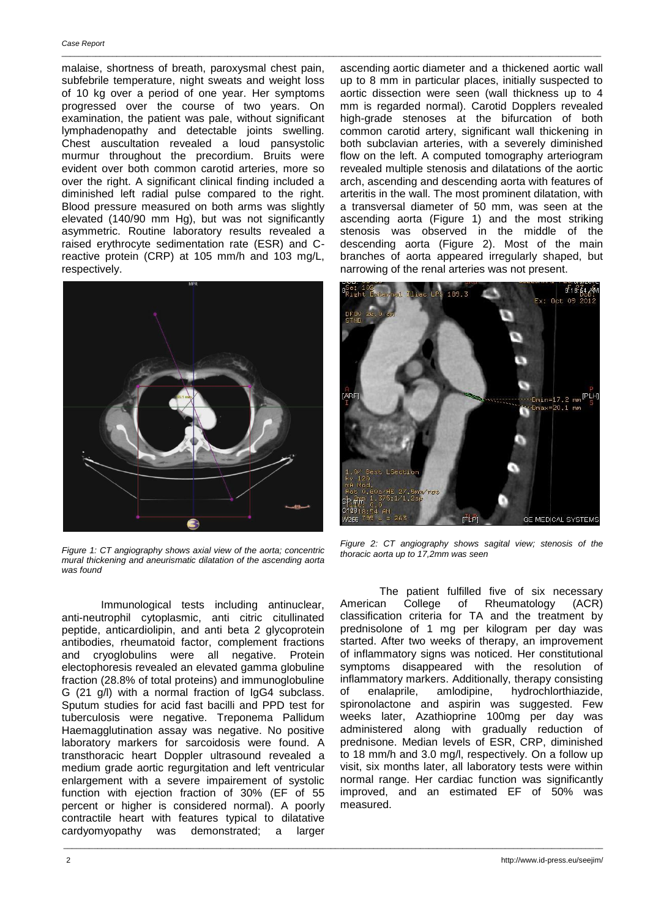malaise, shortness of breath, paroxysmal chest pain, subfebrile temperature, night sweats and weight loss of 10 kg over a period of one year. Her symptoms progressed over the course of two years. On examination, the patient was pale, without significant lymphadenopathy and detectable joints swelling*.* Chest auscultation revealed a loud pansystolic murmur throughout the precordium. Bruits were evident over both common carotid arteries, more so over the right. A significant clinical finding included a diminished left radial pulse compared to the right. Blood pressure measured on both arms was slightly elevated (140/90 mm Hg), but was not significantly asymmetric. Routine laboratory results revealed a raised erythrocyte sedimentation rate (ESR) and Creactive protein (CRP) at 105 mm/h and 103 mg/L, respectively.



*Figure 1: CT angiography shows axial view of the aorta; concentric mural thickening and aneurismatic dilatation of the ascending aorta was found*

Immunological tests including antinuclear, anti-neutrophil cytoplasmic, anti citric citullinated peptide, anticardiolipin, and anti beta 2 glycoprotein antibodies, rheumatoid factor, complement fractions and cryoglobulins were all negative. Protein electophoresis revealed an elevated gamma globuline fraction (28.8% of total proteins) and immunoglobuline G (21 g/l) with a normal fraction of IgG4 subclass. Sputum studies for acid fast bacilli and PPD test for tuberculosis were negative. Treponema Pallidum Haemagglutination assay was negative. No positive laboratory markers for sarcoidosis were found. A transthoracic heart Doppler ultrasound revealed a medium grade aortic regurgitation and left ventricular enlargement with a severe impairement of systolic function with ejection fraction of 30% (EF of 55 percent or higher is considered normal). A poorly contractile heart with features typical to dilatative cardyomyopathy was demonstrated; a larger

\_\_\_\_\_\_\_\_\_\_\_\_\_\_\_\_\_\_\_\_\_\_\_\_\_\_\_\_\_\_\_\_\_\_\_\_\_\_\_\_\_\_\_\_\_\_\_\_\_\_\_\_\_\_\_\_\_\_\_\_\_\_\_\_\_\_\_\_\_\_\_\_\_\_\_\_\_\_\_\_\_\_\_\_\_\_\_\_\_\_\_\_\_\_\_\_\_\_\_\_\_\_\_\_\_\_\_\_\_\_\_\_\_\_\_\_\_\_\_\_\_\_\_\_\_\_\_

ascending aortic diameter and a thickened aortic wall up to 8 mm in particular places, initially suspected to aortic dissection were seen (wall thickness up to 4 mm is regarded normal). Carotid Dopplers revealed high-grade stenoses at the bifurcation of both common carotid artery, significant wall thickening in both subclavian arteries, with a severely diminished flow on the left. A computed tomography arteriogram revealed multiple stenosis and dilatations of the aortic arch, ascending and descending aorta with features of arteritis in the wall. The most prominent dilatation, with a transversal diameter of 50 mm, was seen at the ascending aorta (Figure 1) and the most striking stenosis was observed in the middle of the descending aorta (Figure 2). Most of the main branches of aorta appeared irregularly shaped, but narrowing of the renal arteries was not present.



*Figure 2: CT angiography shows sagital view; stenosis of the thoracic aorta up to 17,2mm was seen*

The patient fulfilled five of six necessary American College of Rheumatology (ACR) classification criteria for TA and the treatment by prednisolone of 1 mg per kilogram per day was started. After two weeks of therapy, an improvement of inflammatory signs was noticed. Her constitutional symptoms disappeared with the resolution of inflammatory markers. Additionally, therapy consisting of enalaprile, amlodipine, hydrochlorthiazide, spironolactone and aspirin was suggested. Few weeks later, Azathioprine 100mg per day was administered along with gradually reduction of prednisone. Median levels of ESR, CRP, diminished to 18 mm/h and 3.0 mg/l, respectively. On a follow up visit, six months later, all laboratory tests were within normal range. Her cardiac function was significantly improved, and an estimated EF of 50% was measured.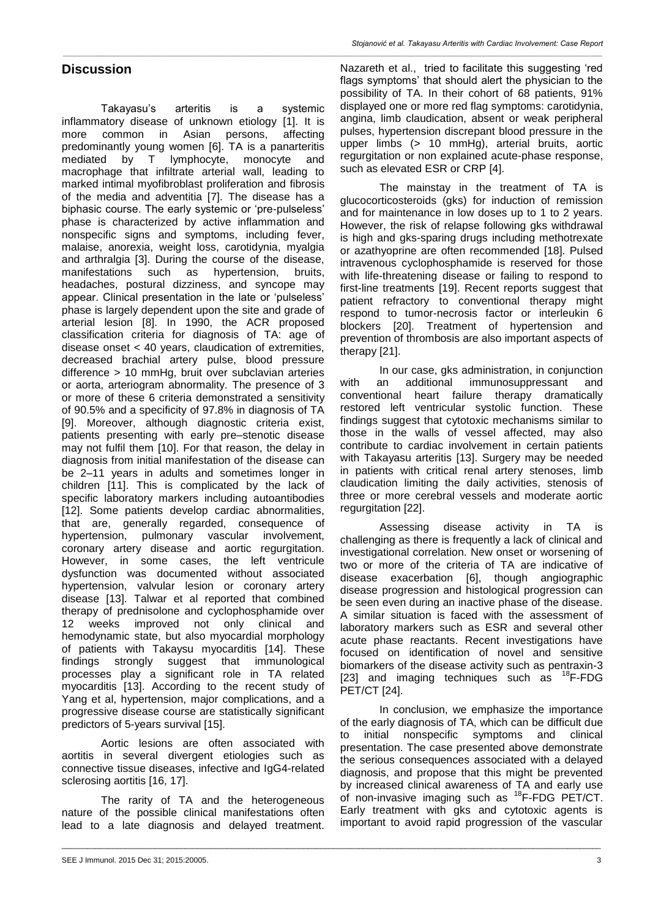Takayasu's arteritis is a systemic inflammatory disease of unknown etiology [1]. It is more common in Asian persons, affecting predominantly young women [6]. TA is a panarteritis mediated by T lymphocyte, monocyte and macrophage that infiltrate arterial wall, leading to marked intimal myofibroblast proliferation and fibrosis of the media and adventitia [7]. The disease has a biphasic course. The early systemic or 'pre-pulseless' phase is characterized by active inflammation and nonspecific signs and symptoms, including fever, malaise, anorexia, weight loss, carotidynia, myalgia and arthralgia [3]. During the course of the disease, manifestations such as hypertension, bruits, headaches, postural dizziness, and syncope may appear. Clinical presentation in the late or 'pulseless' phase is largely dependent upon the site and grade of arterial lesion [8]. In 1990, the ACR proposed classification criteria for diagnosis of TA: age of disease onset < 40 years, claudication of extremities, decreased brachial artery pulse, blood pressure difference > 10 mmHg, bruit over subclavian arteries or aorta, arteriogram abnormality. The presence of 3 or more of these 6 criteria demonstrated a sensitivity of 90.5% and a specificity of 97.8% in diagnosis of TA [9]. Moreover, although diagnostic criteria exist, patients presenting with early pre–stenotic disease may not fulfil them [10]. For that reason, the delay in diagnosis from initial manifestation of the disease can be 2–11 years in adults and sometimes longer in children [11]. This is complicated by the lack of specific laboratory markers including autoantibodies [12]. Some patients develop cardiac abnormalities, that are, generally regarded, consequence of hypertension, pulmonary vascular involvement, coronary artery disease and aortic regurgitation. However, in some cases, the left ventricule dysfunction was documented without associated hypertension, valvular lesion or coronary artery disease [13]. Talwar et al reported that combined therapy of prednisolone and cyclophosphamide over 12 weeks improved not only clinical and hemodynamic state, but also myocardial morphology of patients with Takaysu myocarditis [14]. These findings strongly suggest that immunological processes play a significant role in TA related myocarditis [13]. According to the recent study of Yang et al, hypertension, major complications, and a progressive disease course are statistically significant predictors of 5-years survival [15].

Aortic lesions are often associated with aortitis in several divergent etiologies such as connective tissue diseases, infective and IgG4-related sclerosing aortitis [16, 17].

The rarity of TA and the heterogeneous nature of the possible clinical manifestations often lead to a late diagnosis and delayed treatment.

\_\_\_\_\_\_\_\_\_\_\_\_\_\_\_\_\_\_\_\_\_\_\_\_\_\_\_\_\_\_\_\_\_\_\_\_\_\_\_\_\_\_\_\_\_\_\_\_\_\_\_\_\_\_\_\_\_\_\_\_\_\_\_\_\_\_\_\_\_\_\_\_\_\_\_\_\_\_\_\_\_\_\_\_\_\_\_\_\_\_\_\_\_\_\_\_\_\_\_\_\_\_\_\_\_\_\_\_\_\_\_\_\_\_\_\_\_\_\_\_\_\_\_\_\_\_\_

*\_\_\_\_\_\_\_\_\_\_\_\_\_\_\_\_\_\_\_\_\_\_\_\_\_\_\_\_\_\_\_\_\_\_\_\_\_\_\_\_\_\_\_\_\_\_\_\_\_\_\_\_\_\_\_\_\_\_\_\_\_\_\_\_\_\_\_\_\_\_\_\_\_\_\_\_\_\_\_\_\_\_\_\_\_\_\_\_\_\_\_\_\_\_\_\_\_\_\_\_\_\_\_\_\_\_\_\_\_\_\_\_\_\_\_\_\_\_\_\_\_\_\_\_\_\_\_*

Nazareth et al., tried to facilitate this suggesting 'red flags symptoms' that should alert the physician to the possibility of TA. In their cohort of 68 patients, 91% displayed one or more red flag symptoms: carotidynia, angina, limb claudication, absent or weak peripheral pulses, hypertension discrepant blood pressure in the upper limbs (> 10 mmHg), arterial bruits, aortic regurgitation or non explained acute-phase response, such as elevated ESR or CRP [4].

The mainstay in the treatment of TA is glucocorticosteroids (gks) for induction of remission and for maintenance in low doses up to 1 to 2 years. However, the risk of relapse following gks withdrawal is high and gks-sparing drugs including methotrexate or azathyoprine are often recommended [18]. Pulsed intravenous cyclophosphamide is reserved for those with life-threatening disease or failing to respond to first-line treatments [19]. Recent reports suggest that patient refractory to conventional therapy might respond to tumor-necrosis factor or interleukin 6 blockers [20]. Treatment of hypertension and prevention of thrombosis are also important aspects of therapy [21].

In our case, gks administration, in conjunction with an additional immunosuppressant and conventional heart failure therapy dramatically restored left ventricular systolic function. These findings suggest that cytotoxic mechanisms similar to those in the walls of vessel affected, may also contribute to cardiac involvement in certain patients with Takayasu arteritis [13]. Surgery may be needed in patients with critical renal artery stenoses, limb claudication limiting the daily activities, stenosis of three or more cerebral vessels and moderate aortic regurgitation [22].

Assessing disease activity in TA is challenging as there is frequently a lack of clinical and investigational correlation. New onset or worsening of two or more of the criteria of TA are indicative of disease exacerbation [6], though angiographic disease progression and histological progression can be seen even during an inactive phase of the disease. A similar situation is faced with the assessment of laboratory markers such as ESR and several other acute phase reactants. Recent investigations have focused on identification of novel and sensitive biomarkers of the disease activity such as pentraxin-3 [23] and imaging techniques such as  ${}^{18}F$ -FDG PET/CT [24].

In conclusion, we emphasize the importance of the early diagnosis of TA, which can be difficult due to initial nonspecific symptoms and clinical presentation. The case presented above demonstrate the serious consequences associated with a delayed diagnosis, and propose that this might be prevented by increased clinical awareness of TA and early use of non-invasive imaging such as <sup>18</sup>F-FDG PET/CT. Early treatment with gks and cytotoxic agents is important to avoid rapid progression of the vascular